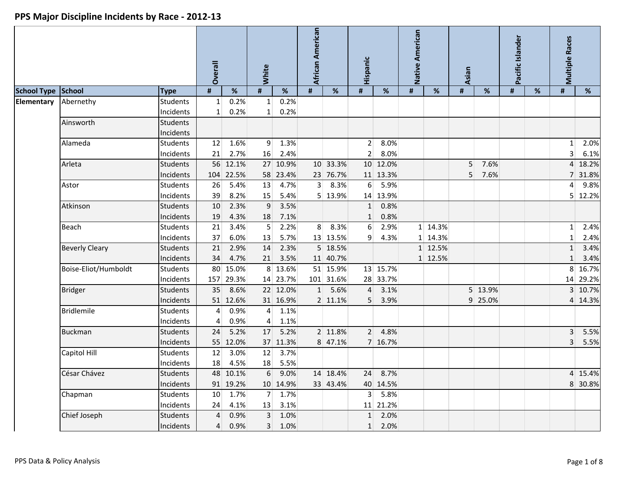|                    |                       |                 | <b>Overall</b> |           | White           |                 | African American |           | Hispanic         |          | Native American |         | Asian          |         | Pacific Islander |   | <b>Multiple Races</b> |          |
|--------------------|-----------------------|-----------------|----------------|-----------|-----------------|-----------------|------------------|-----------|------------------|----------|-----------------|---------|----------------|---------|------------------|---|-----------------------|----------|
| <b>School Type</b> | School                | <b>Type</b>     | #              | $\%$      | #               | $\%$            | #                | %         | $\pmb{\sharp}$   | %        | $\sharp$        | %       | $\pmb{\#}$     | %       | $\pmb{\sharp}$   | % | #                     | %        |
| Elementary         | Abernethy             | <b>Students</b> | 1              | 0.2%      | $\mathbf{1}$    | 0.2%            |                  |           |                  |          |                 |         |                |         |                  |   |                       |          |
|                    |                       | Incidents       | $1\vert$       | 0.2%      | $\mathbf{1}$    | 0.2%            |                  |           |                  |          |                 |         |                |         |                  |   |                       |          |
|                    | Ainsworth             | <b>Students</b> |                |           |                 |                 |                  |           |                  |          |                 |         |                |         |                  |   |                       |          |
|                    |                       | Incidents       |                |           |                 |                 |                  |           |                  |          |                 |         |                |         |                  |   |                       |          |
|                    | Alameda               | <b>Students</b> | 12             | 1.6%      | 9 <sup>1</sup>  | 1.3%            |                  |           | 2 <sup>1</sup>   | 8.0%     |                 |         |                |         |                  |   | $\mathbf{1}$          | 2.0%     |
|                    |                       | Incidents       | 21             | 2.7%      | 16              | 2.4%            |                  |           | $\overline{2}$   | 8.0%     |                 |         |                |         |                  |   | $\overline{3}$        | 6.1%     |
|                    | Arleta                | Students        |                | 56 12.1%  |                 | 27 10.9%        |                  | 10 33.3%  |                  | 10 12.0% |                 |         | 5 <sup>1</sup> | 7.6%    |                  |   |                       | 4 18.2%  |
|                    |                       | Incidents       | 104            | 22.5%     |                 | 58 23.4%        |                  | 23 76.7%  |                  | 11 13.3% |                 |         | 5 <sup>1</sup> | 7.6%    |                  |   |                       | 31.8%    |
|                    | Astor                 | <b>Students</b> | 26             | 5.4%      | 13              | 4.7%            | 3 <sup>1</sup>   | 8.3%      | $6 \overline{6}$ | 5.9%     |                 |         |                |         |                  |   | 4                     | 9.8%     |
|                    |                       | Incidents       | 39             | 8.2%      | 15              | 5.4%            |                  | 5 13.9%   |                  | 14 13.9% |                 |         |                |         |                  |   |                       | 5 12.2%  |
|                    | Atkinson              | Students        | 10             | 2.3%      | 9               | 3.5%            |                  |           | $1\vert$         | 0.8%     |                 |         |                |         |                  |   |                       |          |
|                    |                       | Incidents       | 19             | 4.3%      | 18              | 7.1%            |                  |           | $\mathbf{1}$     | 0.8%     |                 |         |                |         |                  |   |                       |          |
|                    | <b>Beach</b>          | Students        | 21             | 3.4%      | 5               | 2.2%            | 8 <sup>1</sup>   | 8.3%      | 6                | 2.9%     |                 | 1 14.3% |                |         |                  |   | 1 <sup>1</sup>        | 2.4%     |
|                    |                       | Incidents       | 37             | 6.0%      | 13              | 5.7%            |                  | 13 13.5%  | 9                | 4.3%     |                 | 1 14.3% |                |         |                  |   | 1                     | 2.4%     |
|                    | <b>Beverly Cleary</b> | <b>Students</b> | 21             | 2.9%      | 14              | 2.3%            |                  | 5 18.5%   |                  |          |                 | 1 12.5% |                |         |                  |   | $1\overline{ }$       | 3.4%     |
|                    |                       | Incidents       | 34             | 4.7%      | 21              | 3.5%            |                  | 11 40.7%  |                  |          |                 | 1 12.5% |                |         |                  |   | $\mathbf 1$           | 3.4%     |
|                    | Boise-Eliot/Humboldt  | <b>Students</b> | 80             | 15.0%     |                 | 8 13.6%         |                  | 51 15.9%  |                  | 13 15.7% |                 |         |                |         |                  |   | 8 <sup>1</sup>        | 16.7%    |
|                    |                       | Incidents       | 157            | 29.3%     |                 | 14 23.7%        |                  | 101 31.6% |                  | 28 33.7% |                 |         |                |         |                  |   |                       | 14 29.2% |
|                    | <b>Bridger</b>        | <b>Students</b> | 35             | 8.6%      |                 | 22 12.0%        |                  | 1 5.6%    | $\overline{4}$   | 3.1%     |                 |         |                | 5 13.9% |                  |   |                       | 3 10.7%  |
|                    |                       | Incidents       |                | 51 12.6%  |                 | 31 16.9%        |                  | 2 11.1%   | 5 <sup>1</sup>   | 3.9%     |                 |         |                | 9 25.0% |                  |   |                       | 4 14.3%  |
|                    | <b>Bridlemile</b>     | <b>Students</b> | 4              | 0.9%      | $\overline{4}$  | 1.1%            |                  |           |                  |          |                 |         |                |         |                  |   |                       |          |
|                    |                       | Incidents       | 4              | 0.9%      | $\vert 4 \vert$ | 1.1%            |                  |           |                  |          |                 |         |                |         |                  |   |                       |          |
|                    | <b>Buckman</b>        | <b>Students</b> | 24             | 5.2%      | 17              | 5.2%            |                  | 2 11.8%   | 2 <sup>1</sup>   | 4.8%     |                 |         |                |         |                  |   | 3 <sup>1</sup>        | 5.5%     |
|                    |                       | Incidents       | 55             | 12.0%     |                 | 37 11.3%        |                  | 8 47.1%   |                  | 7 16.7%  |                 |         |                |         |                  |   | 3 <sup>1</sup>        | 5.5%     |
|                    | Capitol Hill          | <b>Students</b> | 12             | 3.0%      | 12              | 3.7%            |                  |           |                  |          |                 |         |                |         |                  |   |                       |          |
|                    |                       | Incidents       | 18             | 4.5%      | 18              | 5.5%            |                  |           |                  |          |                 |         |                |         |                  |   |                       |          |
|                    | César Chávez          | Students        |                | 48 10.1%  |                 | 6 9.0%          |                  | 14 18.4%  |                  | 24 8.7%  |                 |         |                |         |                  |   |                       | 4 15.4%  |
|                    |                       | Incidents       |                | 91 19.2%  |                 | 10 14.9%        |                  | 33 43.4%  |                  | 40 14.5% |                 |         |                |         |                  |   |                       | 8 30.8%  |
|                    | Chapman               | Students        |                | $10$ 1.7% |                 | 7 1.7%          |                  |           |                  | 3   5.8% |                 |         |                |         |                  |   |                       |          |
|                    |                       | Incidents       |                | 24 4.1%   |                 | 13 3.1%         |                  |           |                  | 11 21.2% |                 |         |                |         |                  |   |                       |          |
|                    | Chief Joseph          | <b>Students</b> | $\overline{4}$ | 0.9%      |                 | 3 1.0%          |                  |           |                  | 1 2.0%   |                 |         |                |         |                  |   |                       |          |
|                    |                       | Incidents       |                | 4 0.9%    |                 | $3 \quad 1.0\%$ |                  |           |                  | 1 2.0%   |                 |         |                |         |                  |   |                       |          |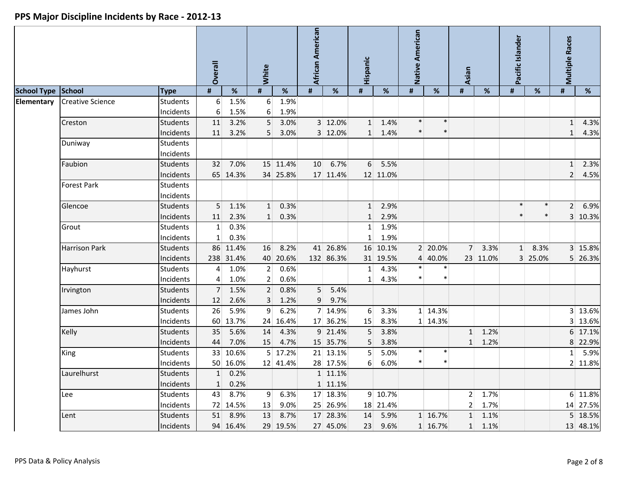|                    |                         |                              | <b>Dverall</b>               |                         | White                            |                         | African American    |                       | Hispanic                          |                      | Native American |                    | <b>Asian</b>   |                                    | Pacific Islander |                 | <b>Multiple Races</b>            |                     |
|--------------------|-------------------------|------------------------------|------------------------------|-------------------------|----------------------------------|-------------------------|---------------------|-----------------------|-----------------------------------|----------------------|-----------------|--------------------|----------------|------------------------------------|------------------|-----------------|----------------------------------|---------------------|
| <b>School Type</b> | School                  | <b>Type</b>                  | #                            | %                       | $\pmb{\sharp}$                   | %                       | #                   | %                     | $\pmb{\sharp}$                    | %                    | #               | $\%$               | $\pmb{\sharp}$ | $\%$                               | #                | $\%$            | #                                | %                   |
| Elementary         | <b>Creative Science</b> | <b>Students</b><br>Incidents | 6<br>6                       | 1.5%<br>1.5%            | $6 \mid$<br>$6 \mid$             | 1.9%<br>1.9%            |                     |                       |                                   |                      |                 |                    |                |                                    |                  |                 |                                  |                     |
|                    | Creston                 | Students<br>Incidents        | 11<br>11                     | 3.2%<br>3.2%            | 5 <sup>1</sup><br>5 <sup>1</sup> | 3.0%<br>3.0%            |                     | 3 12.0%<br>3 12.0%    | $1\overline{ }$<br>1 <sup>1</sup> | 1.4%<br>1.4%         | $\ast$          | $\ast$<br>$\ast$   |                |                                    |                  |                 | $1\overline{ }$<br>$\mathbf{1}$  | 4.3%<br>4.3%        |
|                    | Duniway                 | <b>Students</b><br>Incidents |                              |                         |                                  |                         |                     |                       |                                   |                      |                 |                    |                |                                    |                  |                 |                                  |                     |
|                    | Faubion                 | <b>Students</b><br>Incidents | 32                           | 7.0%<br>65 14.3%        |                                  | 15 11.4%<br>34 25.8%    | 10 <sup>°</sup>     | 6.7%<br>17 11.4%      | 6 <sup>1</sup>                    | 5.5%<br>12 11.0%     |                 |                    |                |                                    |                  |                 | 1 <sup>1</sup><br>2 <sup>1</sup> | 2.3%<br>4.5%        |
|                    | Forest Park             | <b>Students</b><br>Incidents |                              |                         |                                  |                         |                     |                       |                                   |                      |                 |                    |                |                                    |                  |                 |                                  |                     |
|                    | Glencoe                 | <b>Students</b><br>Incidents | 5 <sup>1</sup><br>11         | 1.1%<br>2.3%            | 1<br>$1\vert$                    | 0.3%<br>0.3%            |                     |                       | 1<br>1                            | 2.9%<br>2.9%         |                 |                    |                |                                    | $\ast$           | $\ast$          | 2 <sup>1</sup>                   | 6.9%<br>3 10.3%     |
|                    | Grout                   | <b>Students</b><br>Incidents | $\mathbf{1}$<br>$\mathbf{1}$ | 0.3%<br>0.3%            |                                  |                         |                     |                       | 1 <sup>1</sup><br>$1\vert$        | 1.9%<br>1.9%         |                 |                    |                |                                    |                  |                 |                                  |                     |
|                    | <b>Harrison Park</b>    | <b>Students</b><br>Incidents |                              | 86 11.4%<br>238 31.4%   | 16                               | 8.2%<br>40 20.6%        |                     | 41 26.8%<br>132 86.3% |                                   | 16 10.1%<br>31 19.5% |                 | 2 20.0%<br>4 40.0% | 7 <sup>1</sup> | 3.3%<br>23 11.0%                   | 1                | 8.3%<br>3 25.0% |                                  | 3 15.8%<br>5 26.3%  |
|                    | Hayhurst                | <b>Students</b><br>Incidents | 4<br>$\overline{4}$          | 1.0%<br>1.0%            | 2<br>2                           | 0.6%<br>0.6%            |                     |                       | 1 <sup>1</sup><br>1 <sup>1</sup>  | 4.3%<br>4.3%         |                 |                    |                |                                    |                  |                 |                                  |                     |
|                    | Irvington               | <b>Students</b><br>Incidents | $\overline{7}$<br>12         | 1.5%<br>2.6%            | 2<br>$\mathbf{3}$                | 0.8%<br>1.2%            | 5 <sup>1</sup><br>9 | 5.4%<br>9.7%          |                                   |                      |                 |                    |                |                                    |                  |                 |                                  |                     |
|                    | James John              | <b>Students</b><br>Incidents | 26                           | 5.9%<br>60 13.7%        | $\overline{9}$                   | 6.2%<br>24 16.4%        |                     | 7 14.9%<br>17 36.2%   | $6 \mid$<br>15                    | 3.3%<br>8.3%         |                 | 1 14.3%<br>1 14.3% |                |                                    |                  |                 |                                  | 3 13.6%<br>3 13.6%  |
|                    | Kelly                   | <b>Students</b><br>Incidents | 35<br>44                     | 5.6%<br>7.0%            | 14<br>15                         | 4.3%<br>4.7%            |                     | 9 21.4%<br>15 35.7%   | 5<br>5                            | 3.8%<br>3.8%         |                 |                    | 1<br>1         | 1.2%<br>1.2%                       |                  |                 |                                  | 6 17.1%<br>8 22.9%  |
|                    | King                    | <b>Students</b><br>Incidents |                              | 33 10.6%<br>50 16.0%    |                                  | 5 17.2%<br>12 41.4%     |                     | 21 13.1%<br>28 17.5%  | 5<br>6                            | 5.0%<br>6.0%         |                 | $\ast$             |                |                                    |                  |                 | 1 <sup>1</sup>                   | 5.9%<br>2 11.8%     |
|                    | Laurelhurst             | Students<br>Incidents        | 1                            | 0.2%<br>$1 \quad 0.2\%$ |                                  |                         |                     | 1 11.1%<br>1 11.1%    |                                   |                      |                 |                    |                |                                    |                  |                 |                                  |                     |
|                    | Lee                     | <b>Students</b><br>Incidents |                              | 43 8.7%<br>72 14.5%     | 13                               | $9 \quad 6.3\%$<br>9.0% |                     | 17 18.3%<br>25 26.9%  |                                   | 9 10.7%<br>18 21.4%  |                 |                    |                | $2 \mid 1.7\%$<br>$2 \mid 1.7\%$   |                  |                 |                                  | 6 11.8%<br>14 27.5% |
|                    | Lent                    | <b>Students</b><br>Incidents |                              | 51 8.9%<br>94 16.4%     | 13                               | 8.7%<br>29 19.5%        |                     | 17 28.3%<br>27 45.0%  | 14                                | 5.9%<br>23 9.6%      |                 | 1 16.7%<br>1 16.7% |                | $1 \quad 1.1\%$<br>$1 \quad 1.1\%$ |                  |                 |                                  | 5 18.5%<br>13 48.1% |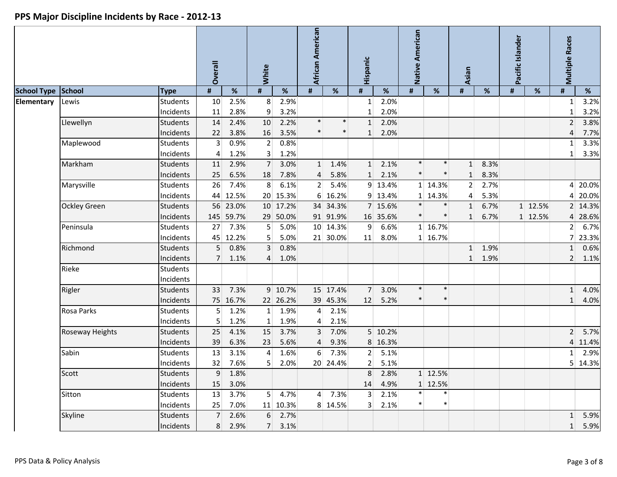|                    |                     |                 | <b>Dverall</b> |          | White          |          | African American |          | Hispanic       |          | Native American |         | <b>Asian</b>    |      | Pacific Islander |         | <b>Multiple Races</b> |                 |
|--------------------|---------------------|-----------------|----------------|----------|----------------|----------|------------------|----------|----------------|----------|-----------------|---------|-----------------|------|------------------|---------|-----------------------|-----------------|
| <b>School Type</b> | School              | <b>Type</b>     | #              | %        | #              | $\%$     | #                | $\%$     | $\pmb{\sharp}$ | $\%$     | #               | $\%$    | $\pmb{\sharp}$  | $\%$ | $\pmb{\sharp}$   | %       | #                     | %               |
| Elementary         | Lewis               | <b>Students</b> | 10             | 2.5%     | 8 <sup>°</sup> | 2.9%     |                  |          | 1              | 2.0%     |                 |         |                 |      |                  |         | $\mathbf{1}$          | 3.2%            |
|                    |                     | Incidents       | 11             | 2.8%     | 9              | 3.2%     |                  |          | $\mathbf{1}$   | 2.0%     |                 |         |                 |      |                  |         | $\mathbf{1}$          | 3.2%            |
|                    | Llewellyn           | Students        | 14             | 2.4%     | 10             | 2.2%     | $\ast$           | $\ast$   | 1              | 2.0%     |                 |         |                 |      |                  |         | 2 <sup>1</sup>        | 3.8%            |
|                    |                     | Incidents       | 22             | 3.8%     | 16             | 3.5%     | $\ast$           |          | 1              | 2.0%     |                 |         |                 |      |                  |         | 4                     | 7.7%            |
|                    | Maplewood           | <b>Students</b> | 3              | 0.9%     | $\overline{2}$ | 0.8%     |                  |          |                |          |                 |         |                 |      |                  |         | $\mathbf{1}$          | 3.3%            |
|                    |                     | Incidents       | 4              | 1.2%     | $\overline{3}$ | 1.2%     |                  |          |                |          |                 |         |                 |      |                  |         | $1\vert$              | 3.3%            |
|                    | Markham             | Students        | 11             | 2.9%     | $\overline{7}$ | 3.0%     | $1\vert$         | 1.4%     | $1\vert$       | 2.1%     | $\ast$          | $\ast$  | 1               | 8.3% |                  |         |                       |                 |
|                    |                     | Incidents       | 25             | 6.5%     | 18             | 7.8%     | 4                | 5.8%     | 1              | 2.1%     |                 | $\ast$  | $\mathbf{1}$    | 8.3% |                  |         |                       |                 |
|                    | Marysville          | <b>Students</b> | 26             | 7.4%     | 8              | 6.1%     | 2 <sup>1</sup>   | 5.4%     |                | 9 13.4%  |                 | 1 14.3% | 2 <sup>1</sup>  | 2.7% |                  |         |                       | 4 20.0%         |
|                    |                     | Incidents       | 44             | 12.5%    |                | 20 15.3% |                  | 6 16.2%  |                | 9 13.4%  |                 | 1 14.3% | $\vert 4 \vert$ | 5.3% |                  |         |                       | 4 20.0%         |
|                    | <b>Ockley Green</b> | <b>Students</b> |                | 56 23.0% |                | 10 17.2% |                  | 34 34.3% |                | 7 15.6%  | $\ast$          |         | 1               | 6.7% |                  | 1 12.5% |                       | 2 14.3%         |
|                    |                     | Incidents       | 145            | 59.7%    |                | 29 50.0% |                  | 91 91.9% |                | 16 35.6% |                 | $\ast$  | $\mathbf{1}$    | 6.7% |                  | 1 12.5% |                       | 4 28.6%         |
|                    | Peninsula           | <b>Students</b> | 27             | 7.3%     | 5 <sup>2</sup> | 5.0%     |                  | 10 14.3% | $\overline{9}$ | 6.6%     |                 | 1 16.7% |                 |      |                  |         | $\overline{2}$        | 6.7%            |
|                    |                     | Incidents       |                | 45 12.2% | 5 <sup>1</sup> | 5.0%     |                  | 21 30.0% | 11             | 8.0%     |                 | 1 16.7% |                 |      |                  |         |                       | 7 23.3%         |
|                    | Richmond            | <b>Students</b> | 5              | 0.8%     | $\overline{3}$ | 0.8%     |                  |          |                |          |                 |         | 1               | 1.9% |                  |         | $\mathbf{1}$          | 0.6%            |
|                    |                     | Incidents       | $\overline{7}$ | 1.1%     | $\overline{4}$ | 1.0%     |                  |          |                |          |                 |         | $\mathbf{1}$    | 1.9% |                  |         | $\overline{2}$        | 1.1%            |
|                    | Rieke               | <b>Students</b> |                |          |                |          |                  |          |                |          |                 |         |                 |      |                  |         |                       |                 |
|                    |                     | Incidents       |                |          |                |          |                  |          |                |          |                 |         |                 |      |                  |         |                       |                 |
|                    | Rigler              | <b>Students</b> | 33             | 7.3%     |                | 9 10.7%  |                  | 15 17.4% | $\overline{7}$ | 3.0%     | $\ast$          | $\ast$  |                 |      |                  |         | 1 <sup>1</sup>        | 4.0%            |
|                    |                     | Incidents       |                | 75 16.7% |                | 22 26.2% |                  | 39 45.3% | 12             | 5.2%     |                 | $\ast$  |                 |      |                  |         | $1\vert$              | 4.0%            |
|                    | Rosa Parks          | Students        | 5              | 1.2%     | $1\vert$       | 1.9%     | 4                | 2.1%     |                |          |                 |         |                 |      |                  |         |                       |                 |
|                    |                     | Incidents       | 5              | 1.2%     | $\vert$ 1      | 1.9%     | 4                | 2.1%     |                |          |                 |         |                 |      |                  |         |                       |                 |
|                    | Roseway Heights     | <b>Students</b> | 25             | 4.1%     | 15             | 3.7%     | $\overline{3}$   | 7.0%     |                | 5 10.2%  |                 |         |                 |      |                  |         | 2 <sup>1</sup>        | 5.7%            |
|                    |                     | Incidents       | 39             | 6.3%     | 23             | 5.6%     | 4                | 9.3%     |                | 8 16.3%  |                 |         |                 |      |                  |         |                       | 4 11.4%         |
|                    | Sabin               | Students        | 13             | 3.1%     | $\overline{4}$ | 1.6%     | 6                | 7.3%     | $\overline{2}$ | 5.1%     |                 |         |                 |      |                  |         | $\mathbf{1}$          | 2.9%            |
|                    |                     | Incidents       | 32             | 7.6%     | 5 <sup>1</sup> | 2.0%     |                  | 20 24.4% | 2 <sup>1</sup> | 5.1%     |                 |         |                 |      |                  |         |                       | 5 14.3%         |
|                    | Scott               | Students        | 9 <sup>1</sup> | 1.8%     |                |          |                  |          | 8 <sup>1</sup> | 2.8%     |                 | 1 12.5% |                 |      |                  |         |                       |                 |
|                    |                     | Incidents       |                | 15 3.0%  |                |          |                  |          |                | 14 4.9%  |                 | 1 12.5% |                 |      |                  |         |                       |                 |
|                    | Sitton              | <b>Students</b> |                | 13 3.7%  |                | 5   4.7% |                  | $4$ 7.3% |                | 3 2.1%   | $\ast$          | $\ast$  |                 |      |                  |         |                       |                 |
|                    |                     | Incidents       |                | 25 7.0%  |                | 11 10.3% |                  | 8 14.5%  |                | $3$ 2.1% | $\ast$          | $\ast$  |                 |      |                  |         |                       |                 |
|                    | Skyline             | <b>Students</b> | 7 <sup>1</sup> | 2.6%     |                | 6 2.7%   |                  |          |                |          |                 |         |                 |      |                  |         |                       | 1 5.9%          |
|                    |                     | Incidents       |                | 8 2.9%   |                | 7 3.1%   |                  |          |                |          |                 |         |                 |      |                  |         |                       | $1 \quad 5.9\%$ |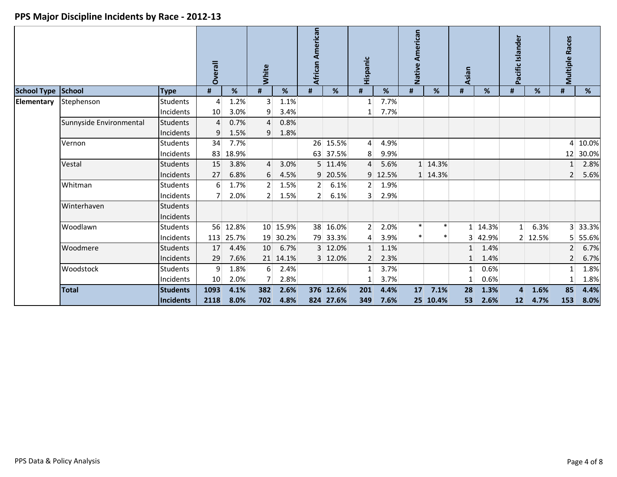|                    |                         |                 | Overall        |           | White            |          | African American |           | Hispanic       |       | American<br>Native |          | Asian        |         | Pacific Islander |         | <b>Multiple Races</b> |         |
|--------------------|-------------------------|-----------------|----------------|-----------|------------------|----------|------------------|-----------|----------------|-------|--------------------|----------|--------------|---------|------------------|---------|-----------------------|---------|
| School Type School |                         | <b>Type</b>     | #              | %         | #                | %        | #                | %         | #              | %     | #                  | %        | #            | %       | #                | %       | #                     | %       |
| Elementary         | Stephenson              | Students        | 4              | 1.2%      | $\overline{3}$   | 1.1%     |                  |           |                | 7.7%  |                    |          |              |         |                  |         |                       |         |
|                    |                         | Incidents       | 10             | 3.0%      | 9                | 3.4%     |                  |           |                | 7.7%  |                    |          |              |         |                  |         |                       |         |
|                    | Sunnyside Environmental | <b>Students</b> | $\overline{4}$ | 0.7%      | $\overline{4}$   | 0.8%     |                  |           |                |       |                    |          |              |         |                  |         |                       |         |
|                    |                         | Incidents       | 9              | 1.5%      | 9                | 1.8%     |                  |           |                |       |                    |          |              |         |                  |         |                       |         |
|                    | Vernon                  | <b>Students</b> | 34             | 7.7%      |                  |          |                  | 26 15.5%  | $\overline{4}$ | 4.9%  |                    |          |              |         |                  |         |                       | 4 10.0% |
|                    |                         | Incidents       | 83             | 18.9%     |                  |          |                  | 63 37.5%  | 8              | 9.9%  |                    |          |              |         |                  |         | 12                    | 30.0%   |
|                    | Vestal                  | <b>Students</b> | 15             | 3.8%      | $\overline{4}$   | 3.0%     |                  | 5 11.4%   | $\overline{4}$ | 5.6%  |                    | 1 14.3%  |              |         |                  |         |                       | 2.8%    |
|                    |                         | Incidents       | 27             | 6.8%      | 6                | 4.5%     |                  | 9 20.5%   | 9 <sup>1</sup> | 12.5% |                    | 1 14.3%  |              |         |                  |         | $\overline{2}$        | 5.6%    |
|                    | Whitman                 | <b>Students</b> | 6              | 1.7%      | 2 <sup>1</sup>   | 1.5%     | 2 <sup>1</sup>   | 6.1%      | 2 <sup>1</sup> | 1.9%  |                    |          |              |         |                  |         |                       |         |
|                    |                         | Incidents       |                | 2.0%      | $\overline{2}$   | 1.5%     | 2 <sup>1</sup>   | 6.1%      | $\overline{3}$ | 2.9%  |                    |          |              |         |                  |         |                       |         |
|                    | Winterhaven             | <b>Students</b> |                |           |                  |          |                  |           |                |       |                    |          |              |         |                  |         |                       |         |
|                    |                         | Incidents       |                |           |                  |          |                  |           |                |       |                    |          |              |         |                  |         |                       |         |
|                    | Woodlawn                | <b>Students</b> |                | 56 12.8%  |                  | 10 15.9% |                  | 38 16.0%  | 2 <sup>1</sup> | 2.0%  | $\ast$             |          |              | 1 14.3% | $1\vert$         | 6.3%    |                       | 3 33.3% |
|                    |                         | Incidents       |                | 113 25.7% |                  | 19 30.2% |                  | 79 33.3%  | $\overline{4}$ | 3.9%  | $\ast$             | $\ast$   | 3            | 42.9%   |                  | 2 12.5% | 5 <sup>1</sup>        | 55.6%   |
|                    | Woodmere                | <b>Students</b> | 17             | 4.4%      | 10               | 6.7%     |                  | 3 12.0%   |                | 1.1%  |                    |          |              | 1.4%    |                  |         | $\overline{2}$        | 6.7%    |
|                    |                         | Incidents       | 29             | 7.6%      |                  | 21 14.1% |                  | 3 12.0%   | 2              | 2.3%  |                    |          | $\mathbf{1}$ | 1.4%    |                  |         | $\overline{2}$        | 6.7%    |
|                    | Woodstock               | <b>Students</b> | 9              | 1.8%      | $6 \overline{6}$ | 2.4%     |                  |           | $1\vert$       | 3.7%  |                    |          | 1            | 0.6%    |                  |         | $\mathbf{1}$          | 1.8%    |
|                    |                         | Incidents       | 10             | 2.0%      | $\overline{7}$   | 2.8%     |                  |           |                | 3.7%  |                    |          |              | 0.6%    |                  |         |                       | 1.8%    |
|                    | <b>Total</b>            | <b>Students</b> | 1093           | 4.1%      | 382              | 2.6%     |                  | 376 12.6% | 201            | 4.4%  | 17                 | 7.1%     | 28           | 1.3%    | 4                | 1.6%    | 85                    | 4.4%    |
|                    |                         | Incidents       | 2118           | 8.0%      | 702              | 4.8%     |                  | 824 27.6% | 349            | 7.6%  |                    | 25 10.4% | 53           | 2.6%    | 12               | 4.7%    | 153                   | 8.0%    |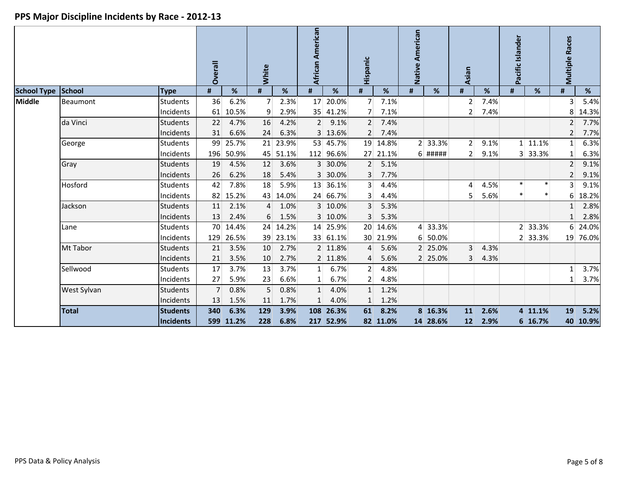|                    |              |                 | <b>Overall</b> |       | <b>White</b>     |          | African American |           | Hispanic       |          | Native American |           | Asian          |      | Pacific Islander |         | <b>Multiple Races</b> |          |
|--------------------|--------------|-----------------|----------------|-------|------------------|----------|------------------|-----------|----------------|----------|-----------------|-----------|----------------|------|------------------|---------|-----------------------|----------|
| <b>School Type</b> | School       | <b>Type</b>     | #              | %     | #                | %        | #                | %         | #              | %        | #               | %         | #              | %    | #                | %       | #                     | %        |
| <b>Middle</b>      | Beaumont     | <b>Students</b> | 36             | 6.2%  | $\overline{7}$   | 2.3%     | 17               | 20.0%     | 7              | 7.1%     |                 |           | $\overline{2}$ | 7.4% |                  |         | 3                     | 5.4%     |
|                    |              | Incidents       | 61             | 10.5% | 9                | 2.9%     |                  | 35 41.2%  | 7              | 7.1%     |                 |           | $\overline{2}$ | 7.4% |                  |         | 8                     | 14.3%    |
|                    | da Vinci     | <b>Students</b> | 22             | 4.7%  | 16               | 4.2%     | 2 <sup>1</sup>   | 9.1%      | 2 <sup>1</sup> | 7.4%     |                 |           |                |      |                  |         | $\overline{2}$        | 7.7%     |
|                    |              | Incidents       | 31             | 6.6%  | 24               | 6.3%     |                  | 3 13.6%   | $\overline{2}$ | 7.4%     |                 |           |                |      |                  |         | $\overline{2}$        | 7.7%     |
|                    | George       | <b>Students</b> | 99             | 25.7% |                  | 21 23.9% |                  | 53 45.7%  |                | 19 14.8% |                 | 2 33.3%   | 2 <sup>1</sup> | 9.1% |                  | 1 11.1% | $1\vert$              | 6.3%     |
|                    |              | Incidents       | 196            | 50.9% |                  | 45 51.1% |                  | 112 96.6% | 27             | 21.1%    |                 | $6$ ##### | 2 <sup>1</sup> | 9.1% |                  | 3 33.3% | $\mathbf{1}$          | 6.3%     |
|                    | Gray         | <b>Students</b> | 19             | 4.5%  | 12               | 3.6%     |                  | 3 30.0%   | $\overline{2}$ | 5.1%     |                 |           |                |      |                  |         | $\overline{2}$        | 9.1%     |
|                    |              | Incidents       | 26             | 6.2%  | 18               | 5.4%     |                  | 3 30.0%   | 3              | 7.7%     |                 |           |                |      |                  |         | $\overline{2}$        | 9.1%     |
|                    | Hosford      | <b>Students</b> | 42             | 7.8%  | 18               | 5.9%     |                  | 13 36.1%  | $\overline{3}$ | 4.4%     |                 |           | $\vert$        | 4.5% | $\ast$           |         | $\overline{3}$        | 9.1%     |
|                    |              | Incidents       | 82             | 15.2% |                  | 43 14.0% |                  | 24 66.7%  | 3              | 4.4%     |                 |           | 5 <sup>1</sup> | 5.6% | $\ast$           |         | 6                     | 18.2%    |
|                    | Jackson      | <b>Students</b> | 11             | 2.1%  | $\overline{4}$   | 1.0%     |                  | 3 10.0%   | 3              | 5.3%     |                 |           |                |      |                  |         | $\mathbf{1}$          | 2.8%     |
|                    |              | Incidents       | 13             | 2.4%  | $6 \overline{6}$ | 1.5%     |                  | 3 10.0%   | 3              | 5.3%     |                 |           |                |      |                  |         | 1                     | 2.8%     |
|                    | Lane         | <b>Students</b> | 70             | 14.4% |                  | 24 14.2% |                  | 14 25.9%  |                | 20 14.6% |                 | 4 33.3%   |                |      |                  | 2 33.3% | 6 <sup>1</sup>        | 24.0%    |
|                    |              | Incidents       | 129            | 26.5% |                  | 39 23.1% |                  | 33 61.1%  |                | 30 21.9% | 6               | 50.0%     |                |      |                  | 2 33.3% |                       | 19 76.0% |
|                    | Mt Tabor     | <b>Students</b> | 21             | 3.5%  | 10               | 2.7%     |                  | 2 11.8%   | $\overline{4}$ | 5.6%     |                 | 2 25.0%   | $\overline{3}$ | 4.3% |                  |         |                       |          |
|                    |              | Incidents       | 21             | 3.5%  | 10               | 2.7%     |                  | 2 11.8%   | 4              | 5.6%     |                 | 2 25.0%   | $\overline{3}$ | 4.3% |                  |         |                       |          |
|                    | Sellwood     | <b>Students</b> | 17             | 3.7%  | 13               | 3.7%     | 1 <sup>1</sup>   | 6.7%      | 2              | 4.8%     |                 |           |                |      |                  |         | 1                     | 3.7%     |
|                    |              | Incidents       | 27             | 5.9%  | 23               | 6.6%     |                  | 6.7%      | $\overline{2}$ | 4.8%     |                 |           |                |      |                  |         | 1                     | 3.7%     |
|                    | West Sylvan  | <b>Students</b> | $\overline{7}$ | 0.8%  | $\overline{5}$   | 0.8%     | $1\vert$         | 4.0%      | 1              | 1.2%     |                 |           |                |      |                  |         |                       |          |
|                    |              | Incidents       | 13             | 1.5%  | 11               | 1.7%     | $\mathbf{1}$     | 4.0%      | 1              | 1.2%     |                 |           |                |      |                  |         |                       |          |
|                    | <b>Total</b> | <b>Students</b> | 340            | 6.3%  | 129              | 3.9%     | 108              | 26.3%     | 61             | 8.2%     |                 | 8 16.3%   | 11             | 2.6% |                  | 4 11.1% | 19                    | 5.2%     |
|                    |              | Incidents       | 599            | 11.2% | 228              | 6.8%     |                  | 217 52.9% |                | 82 11.0% |                 | 14 28.6%  | 12             | 2.9% |                  | 6 16.7% |                       | 40 10.9% |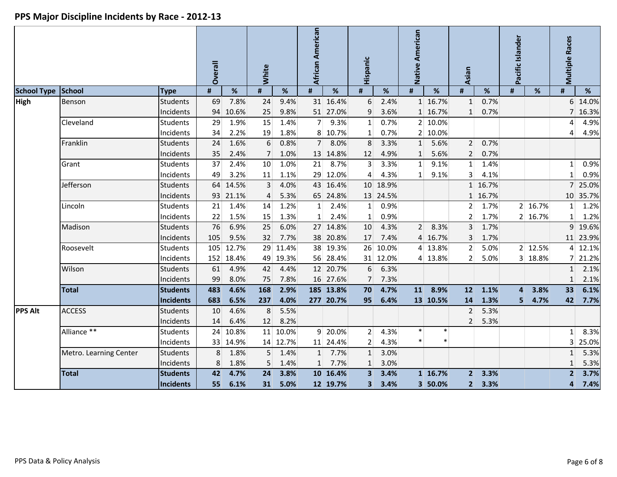|                    |                        |                  | Overall |           | White          |          | African American |           | Hispanic                |          | Native American |          | Asian           |         | Pacific Islander        |         | <b>Multiple Races</b> |          |
|--------------------|------------------------|------------------|---------|-----------|----------------|----------|------------------|-----------|-------------------------|----------|-----------------|----------|-----------------|---------|-------------------------|---------|-----------------------|----------|
| <b>School Type</b> | School                 | <b>Type</b>      | #       | $\%$      | #              | $\%$     | #                | %         | #                       | $\%$     | #               | $\%$     | #               | $\%$    | $\pmb{\sharp}$          | $\%$    | #                     | %        |
| <b>High</b>        | Benson                 | <b>Students</b>  | 69      | 7.8%      | 24             | 9.4%     |                  | 31 16.4%  | 6                       | 2.4%     |                 | 1 16.7%  | $\mathbf{1}$    | 0.7%    |                         |         | 6 <sup>1</sup>        | 14.0%    |
|                    |                        | Incidents        | 94      | 10.6%     | 25             | 9.8%     |                  | 51 27.0%  | 9                       | 3.6%     |                 | 1 16.7%  | $\mathbf{1}$    | 0.7%    |                         |         |                       | 7 16.3%  |
|                    | Cleveland              | <b>Students</b>  | 29      | 1.9%      | 15             | 1.4%     | $\overline{7}$   | 9.3%      | $1\vert$                | 0.7%     |                 | 2 10.0%  |                 |         |                         |         | 4                     | 4.9%     |
|                    |                        | Incidents        | 34      | 2.2%      | 19             | 1.8%     |                  | 8 10.7%   | 1                       | 0.7%     |                 | 2 10.0%  |                 |         |                         |         | $\overline{4}$        | 4.9%     |
|                    | Franklin               | <b>Students</b>  | 24      | 1.6%      | 6              | 0.8%     | 7 <sup>1</sup>   | 8.0%      | 8                       | 3.3%     | 1               | 5.6%     | 2               | 0.7%    |                         |         |                       |          |
|                    |                        | Incidents        | 35      | 2.4%      | $\overline{7}$ | 1.0%     |                  | 13 14.8%  | 12                      | 4.9%     | 1               | 5.6%     | 2               | 0.7%    |                         |         |                       |          |
|                    | Grant                  | <b>Students</b>  | 37      | 2.4%      | 10             | 1.0%     | 21               | 8.7%      | $\overline{3}$          | 3.3%     | $\mathbf{1}$    | 9.1%     | $1\overline{ }$ | 1.4%    |                         |         | 1 <sup>1</sup>        | 0.9%     |
|                    |                        | Incidents        | 49      | 3.2%      | 11             | 1.1%     |                  | 29 12.0%  | $\overline{4}$          | 4.3%     | $1\vert$        | 9.1%     | 3 <sup>1</sup>  | 4.1%    |                         |         | $\mathbf{1}$          | 0.9%     |
|                    | Jefferson              | <b>Students</b>  | 64      | 14.5%     | $\overline{3}$ | 4.0%     |                  | 43 16.4%  |                         | 10 18.9% |                 |          |                 | 1 16.7% |                         |         | 7 <sup>1</sup>        | 25.0%    |
|                    |                        | Incidents        | 93      | 21.1%     | 4              | 5.3%     |                  | 65 24.8%  |                         | 13 24.5% |                 |          |                 | 1 16.7% |                         |         |                       | 10 35.7% |
|                    | Lincoln                | <b>Students</b>  | 21      | 1.4%      | 14             | 1.2%     | 1                | 2.4%      | $1\vert$                | 0.9%     |                 |          | 2               | 1.7%    |                         | 2 16.7% | $\mathbf{1}$          | 1.2%     |
|                    |                        | Incidents        | 22      | 1.5%      | 15             | 1.3%     | 1 <sup>1</sup>   | 2.4%      | 1                       | 0.9%     |                 |          | 2 <sup>1</sup>  | 1.7%    |                         | 2 16.7% | $\mathbf{1}$          | 1.2%     |
|                    | Madison                | Students         | 76      | 6.9%      | 25             | 6.0%     |                  | 27 14.8%  | 10                      | 4.3%     | 2 <sup>1</sup>  | 8.3%     | $\overline{3}$  | 1.7%    |                         |         |                       | 9 19.6%  |
|                    |                        | Incidents        | 105     | 9.5%      | 32             | 7.7%     |                  | 38 20.8%  | 17                      | 7.4%     |                 | 4 16.7%  | 3               | 1.7%    |                         |         |                       | 11 23.9% |
|                    | Roosevelt              | Students         | 105     | 12.7%     | 29             | 11.4%    |                  | 38 19.3%  |                         | 26 10.0% |                 | 4 13.8%  | 2 <sup>1</sup>  | 5.0%    |                         | 2 12.5% | $\mathbf{4}$          | 12.1%    |
|                    |                        | Incidents        |         | 152 18.4% |                | 49 19.3% |                  | 56 28.4%  |                         | 31 12.0% |                 | 4 13.8%  | 2 <sup>1</sup>  | 5.0%    |                         | 3 18.8% | 7 <sup>1</sup>        | 21.2%    |
|                    | Wilson                 | <b>Students</b>  | 61      | 4.9%      | 42             | 4.4%     |                  | 12 20.7%  | 6                       | 6.3%     |                 |          |                 |         |                         |         | $\mathbf{1}$          | 2.1%     |
|                    |                        | Incidents        | 99      | 8.0%      | 75             | 7.8%     |                  | 16 27.6%  | 7                       | 7.3%     |                 |          |                 |         |                         |         | $\mathbf{1}$          | 2.1%     |
|                    | Total                  | <b>Students</b>  | 483     | 4.6%      | 168            | 2.9%     |                  | 185 13.8% | 70                      | 4.7%     | 11              | 8.9%     | 12              | 1.1%    | $\overline{\mathbf{4}}$ | 3.8%    | 33                    | 6.1%     |
|                    |                        | <b>Incidents</b> | 683     | 6.5%      | 237            | 4.0%     |                  | 277 20.7% | 95                      | 6.4%     |                 | 13 10.5% | 14              | 1.3%    | 5                       | 4.7%    | 42                    | 7.7%     |
| <b>PPS Alt</b>     | <b>ACCESS</b>          | <b>Students</b>  | 10      | 4.6%      | 8              | 5.5%     |                  |           |                         |          |                 |          | 2 <sup>1</sup>  | 5.3%    |                         |         |                       |          |
|                    |                        | Incidents        | 14      | 6.4%      | 12             | 8.2%     |                  |           |                         |          |                 |          | 2 <sup>1</sup>  | 5.3%    |                         |         |                       |          |
|                    | Alliance **            | <b>Students</b>  | 24      | 10.8%     | 11             | 10.0%    |                  | 9 20.0%   | 2                       | 4.3%     | $\ast$          | $\ast$   |                 |         |                         |         | $\mathbf{1}$          | 8.3%     |
|                    |                        | Incidents        |         | 33 14.9%  |                | 14 12.7% |                  | 11 24.4%  | $\overline{2}$          | 4.3%     | $\ast$          | $\ast$   |                 |         |                         |         | 3                     | 25.0%    |
|                    | Metro. Learning Center | <b>Students</b>  | 8       | 1.8%      | 5 <sup>5</sup> | 1.4%     | 1                | 7.7%      | $1\vert$                | 3.0%     |                 |          |                 |         |                         |         | $\mathbf{1}$          | 5.3%     |
|                    |                        | Incidents        | 8       | 1.8%      | 5              | 1.4%     | $1\vert$         | 7.7%      | 1                       | 3.0%     |                 |          |                 |         |                         |         | $1\vert$              | 5.3%     |
|                    | <b>Total</b>           | <b>Students</b>  | 42      | 4.7%      | 24             | 3.8%     |                  | 10 16.4%  | $\overline{\mathbf{3}}$ | 3.4%     |                 | 1 16.7%  | 2 <sup>1</sup>  | 3.3%    |                         |         | $\overline{2}$        | 3.7%     |
|                    |                        | <b>Incidents</b> | 55      | 6.1%      | 31             | 5.0%     |                  | 12 19.7%  | 3 <sup>1</sup>          | 3.4%     |                 | 3 50.0%  | $\mathbf{2}$    | 3.3%    |                         |         | 4                     | 7.4%     |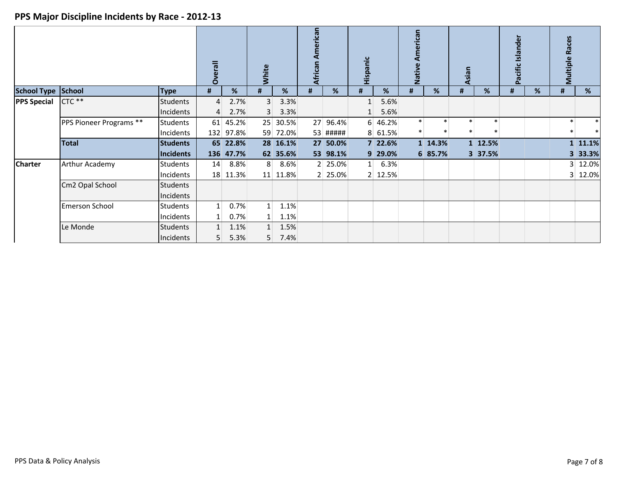|                    | <b>School Type School</b><br><b>Type</b> |                 | erall<br>Ò     |           | White        |          | African American |          | Hispanic       |         | merican<br>Native |         | Asian  |         | Pacific Islander |   | <b>Races</b><br>Multiple |         |
|--------------------|------------------------------------------|-----------------|----------------|-----------|--------------|----------|------------------|----------|----------------|---------|-------------------|---------|--------|---------|------------------|---|--------------------------|---------|
|                    |                                          |                 | #              | %         | #            | %        | #                | %        | #              | %       | #                 | %       | #      | %       | #                | % | #                        | %       |
| <b>PPS Special</b> | CTC **                                   | <b>Students</b> | $\overline{4}$ | 2.7%      | 3            | 3.3%     |                  |          | $\mathbf{1}$   | 5.6%    |                   |         |        |         |                  |   |                          |         |
|                    |                                          | Incidents       | 4              | 2.7%      | $\mathbf{3}$ | 3.3%     |                  |          | $\mathbf{1}$   | 5.6%    |                   |         |        |         |                  |   |                          |         |
|                    | PPS Pioneer Programs **                  | Students        |                | 61 45.2%  | 25           | 30.5%    |                  | 27 96.4% |                | 6 46.2% | $\ast$            | $\ast$  | $\ast$ | $\ast$  |                  |   |                          | $\ast$  |
|                    |                                          | Incidents       |                | 132 97.8% |              | 59 72.0% |                  | 53 ##### |                | 8 61.5% | ∗                 | $\ast$  |        |         |                  |   |                          |         |
|                    | <b>Total</b>                             | <b>Students</b> |                | 65 22.8%  |              | 28 16.1% |                  | 27 50.0% |                | 7 22.6% |                   | 1 14.3% |        | 1 12.5% |                  |   |                          | 1 11.1% |
|                    |                                          | Incidents       |                | 136 47.7% |              | 62 35.6% |                  | 53 98.1% |                | 9 29.0% |                   | 6 85.7% |        | 3 37.5% |                  |   | 3 <sup>1</sup>           | 33.3%   |
| <b>Charter</b>     | Arthur Academy                           | <b>Students</b> | 14             | 8.8%      | 8            | 8.6%     |                  | 2 25.0%  | 1 <sup>1</sup> | 6.3%    |                   |         |        |         |                  |   |                          | 3 12.0% |
|                    |                                          | Incidents       |                | 18 11.3%  |              | 11 11.8% |                  | 2 25.0%  |                | 2 12.5% |                   |         |        |         |                  |   |                          | 3 12.0% |
|                    | Cm2 Opal School                          | <b>Students</b> |                |           |              |          |                  |          |                |         |                   |         |        |         |                  |   |                          |         |
|                    |                                          | Incidents       |                |           |              |          |                  |          |                |         |                   |         |        |         |                  |   |                          |         |
|                    | <b>Emerson School</b>                    | <b>Students</b> | 1 <sup>1</sup> | 0.7%      | $1\vert$     | 1.1%     |                  |          |                |         |                   |         |        |         |                  |   |                          |         |
|                    |                                          | Incidents       | 1 <sup>1</sup> | 0.7%      | $1\vert$     | 1.1%     |                  |          |                |         |                   |         |        |         |                  |   |                          |         |
|                    | Le Monde                                 | Students        |                | 1.1%      | $1\vert$     | 1.5%     |                  |          |                |         |                   |         |        |         |                  |   |                          |         |
|                    |                                          | Incidents       | 5.             | 5.3%      | 5            | 7.4%     |                  |          |                |         |                   |         |        |         |                  |   |                          |         |